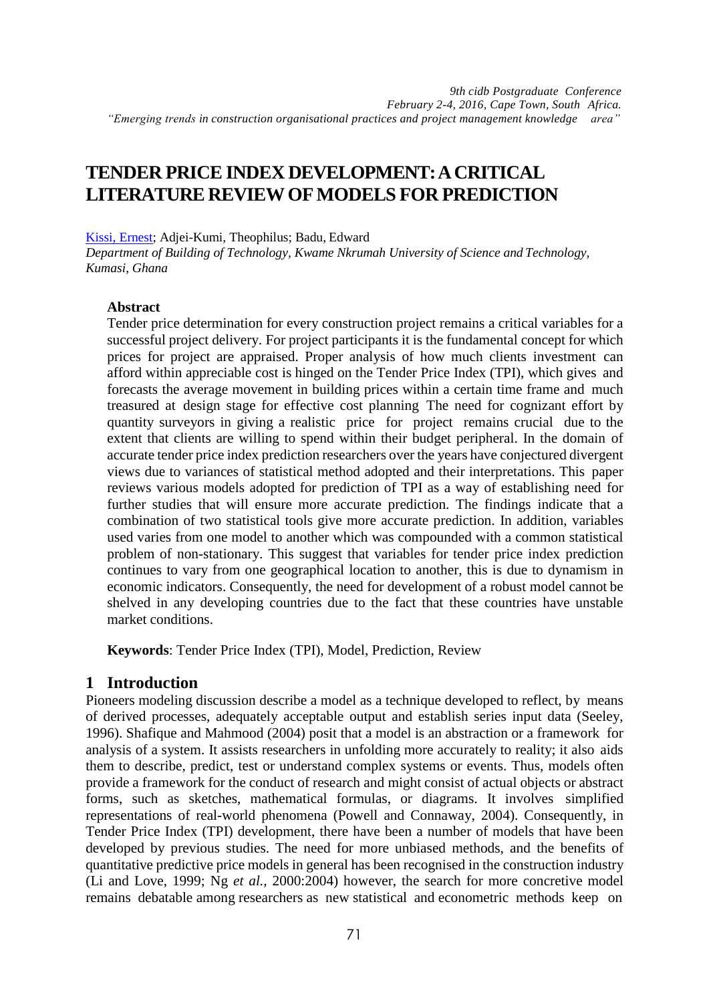## **TENDER PRICE INDEX DEVELOPMENT:ACRITICAL LITERATURE REVIEWOFMODELS FOR PREDICTION**

[Kissi, Ernest;](http://orcid.org/0000-0002-1975-3382) Adjei-Kumi, Theophilus; Badu, Edward

*Department of Building of Technology, Kwame Nkrumah University of Science and Technology, Kumasi, Ghana*

#### **Abstract**

Tender price determination for every construction project remains a critical variables for a successful project delivery. For project participants it is the fundamental concept for which prices for project are appraised. Proper analysis of how much clients investment can afford within appreciable cost is hinged on the Tender Price Index (TPI), which gives and forecasts the average movement in building prices within a certain time frame and much treasured at design stage for effective cost planning The need for cognizant effort by quantity surveyors in giving a realistic price for project remains crucial due to the extent that clients are willing to spend within their budget peripheral. In the domain of accurate tender price index prediction researchers over the years have conjectured divergent views due to variances of statistical method adopted and their interpretations. This paper reviews various models adopted for prediction of TPI as a way of establishing need for further studies that will ensure more accurate prediction. The findings indicate that a combination of two statistical tools give more accurate prediction. In addition, variables used varies from one model to another which was compounded with a common statistical problem of non-stationary. This suggest that variables for tender price index prediction continues to vary from one geographical location to another, this is due to dynamism in economic indicators. Consequently, the need for development of a robust model cannot be shelved in any developing countries due to the fact that these countries have unstable market conditions.

**Keywords**: Tender Price Index (TPI), Model, Prediction, Review

## **1 Introduction**

Pioneers modeling discussion describe a model as a technique developed to reflect, by means of derived processes, adequately acceptable output and establish series input data (Seeley, 1996). Shafique and Mahmood (2004) posit that a model is an abstraction or a framework for analysis of a system. It assists researchers in unfolding more accurately to reality; it also aids them to describe, predict, test or understand complex systems or events. Thus, models often provide a framework for the conduct of research and might consist of actual objects or abstract forms, such as sketches, mathematical formulas, or diagrams. It involves simplified representations of real-world phenomena (Powell and Connaway, 2004). Consequently, in Tender Price Index (TPI) development, there have been a number of models that have been developed by previous studies. The need for more unbiased methods, and the benefits of quantitative predictive price models in general has been recognised in the construction industry (Li and Love, 1999; Ng *et al.,* 2000:2004) however, the search for more concretive model remains debatable among researchers as new statistical and econometric methods keep on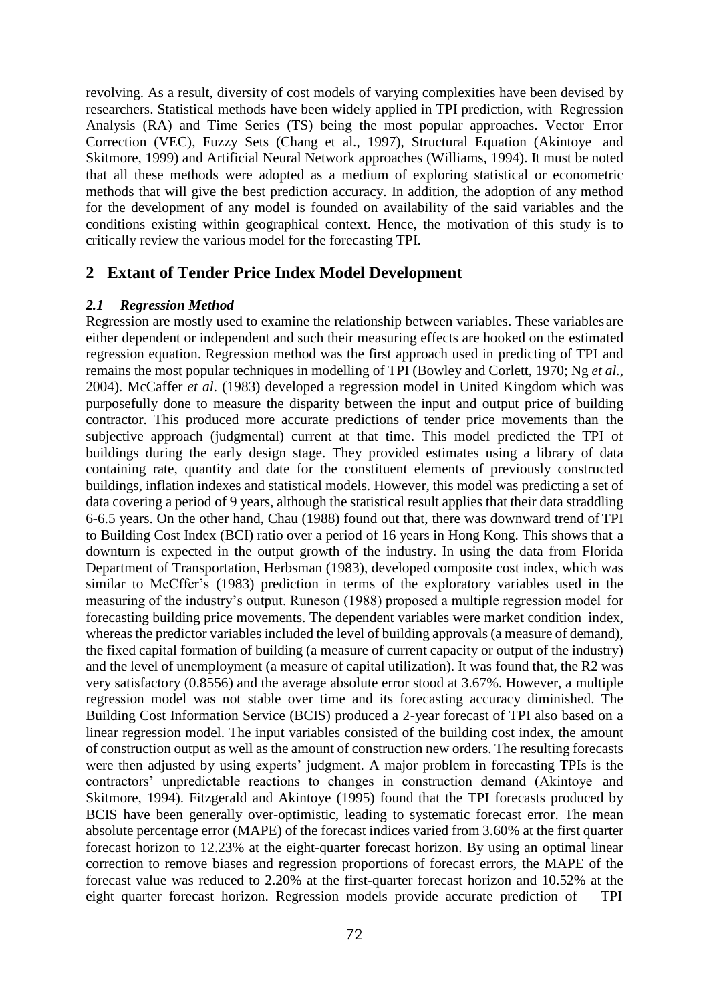revolving. As a result, diversity of cost models of varying complexities have been devised by researchers. Statistical methods have been widely applied in TPI prediction, with Regression Analysis (RA) and Time Series (TS) being the most popular approaches. Vector Error Correction (VEC), Fuzzy Sets (Chang et al., 1997), Structural Equation (Akintoye and Skitmore, 1999) and Artificial Neural Network approaches (Williams, 1994). It must be noted that all these methods were adopted as a medium of exploring statistical or econometric methods that will give the best prediction accuracy. In addition, the adoption of any method for the development of any model is founded on availability of the said variables and the conditions existing within geographical context. Hence, the motivation of this study is to critically review the various model for the forecasting TPI.

## **2 Extant of Tender Price Index Model Development**

#### *2.1 Regression Method*

Regression are mostly used to examine the relationship between variables. These variables are either dependent or independent and such their measuring effects are hooked on the estimated regression equation. Regression method was the first approach used in predicting of TPI and remains the most popular techniques in modelling of TPI (Bowley and Corlett, 1970; Ng *et al.,*  2004). McCaffer *et al*. (1983) developed a regression model in United Kingdom which was purposefully done to measure the disparity between the input and output price of building contractor. This produced more accurate predictions of tender price movements than the subjective approach (judgmental) current at that time. This model predicted the TPI of buildings during the early design stage. They provided estimates using a library of data containing rate, quantity and date for the constituent elements of previously constructed buildings, inflation indexes and statistical models. However, this model was predicting a set of data covering a period of 9 years, although the statistical result applies that their data straddling 6-6.5 years. On the other hand, Chau (1988) found out that, there was downward trend of TPI to Building Cost Index (BCI) ratio over a period of 16 years in Hong Kong. This shows that a downturn is expected in the output growth of the industry. In using the data from Florida Department of Transportation, Herbsman (1983), developed composite cost index, which was similar to McCffer's (1983) prediction in terms of the exploratory variables used in the measuring of the industry's output. Runeson (1988) proposed a multiple regression model for forecasting building price movements. The dependent variables were market condition index, whereas the predictor variables included the level of building approvals (a measure of demand), the fixed capital formation of building (a measure of current capacity or output of the industry) and the level of unemployment (a measure of capital utilization). It was found that, the R2 was very satisfactory (0.8556) and the average absolute error stood at 3.67%. However, a multiple regression model was not stable over time and its forecasting accuracy diminished. The Building Cost Information Service (BCIS) produced a 2-year forecast of TPI also based on a linear regression model. The input variables consisted of the building cost index, the amount of construction output as well as the amount of construction new orders. The resulting forecasts were then adjusted by using experts' judgment. A major problem in forecasting TPIs is the contractors' unpredictable reactions to changes in construction demand (Akintoye and Skitmore, 1994). Fitzgerald and Akintoye (1995) found that the TPI forecasts produced by BCIS have been generally over-optimistic, leading to systematic forecast error. The mean absolute percentage error (MAPE) of the forecast indices varied from 3.60% at the first quarter forecast horizon to 12.23% at the eight-quarter forecast horizon. By using an optimal linear correction to remove biases and regression proportions of forecast errors, the MAPE of the forecast value was reduced to 2.20% at the first-quarter forecast horizon and 10.52% at the eight quarter forecast horizon. Regression models provide accurate prediction of TPI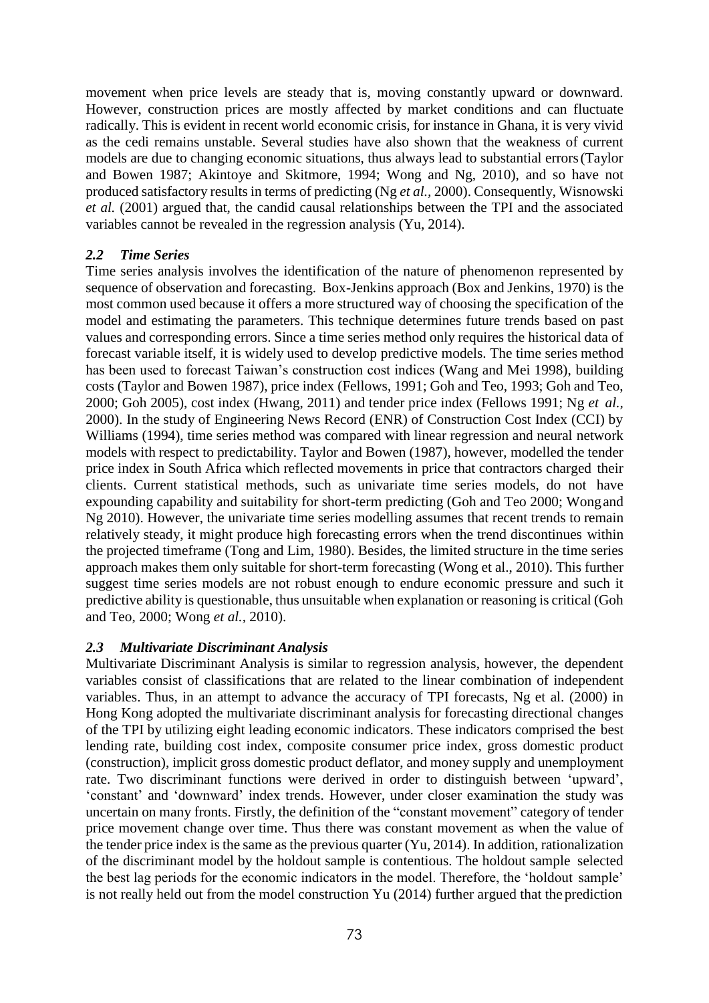movement when price levels are steady that is, moving constantly upward or downward. However, construction prices are mostly affected by market conditions and can fluctuate radically. This is evident in recent world economic crisis, for instance in Ghana, it is very vivid as the cedi remains unstable. Several studies have also shown that the weakness of current models are due to changing economic situations, thus always lead to substantial errors(Taylor and Bowen 1987; Akintoye and Skitmore, 1994; Wong and Ng, 2010), and so have not produced satisfactory results in terms of predicting (Ng *et al.,* 2000). Consequently, Wisnowski *et al.* (2001) argued that, the candid causal relationships between the TPI and the associated variables cannot be revealed in the regression analysis (Yu, 2014).

#### *2.2 Time Series*

Time series analysis involves the identification of the nature of phenomenon represented by sequence of observation and forecasting. Box-Jenkins approach (Box and Jenkins, 1970) is the most common used because it offers a more structured way of choosing the specification of the model and estimating the parameters. This technique determines future trends based on past values and corresponding errors. Since a time series method only requires the historical data of forecast variable itself, it is widely used to develop predictive models. The time series method has been used to forecast Taiwan's construction cost indices (Wang and Mei 1998), building costs (Taylor and Bowen 1987), price index (Fellows, 1991; Goh and Teo, 1993; Goh and Teo, 2000; Goh 2005), cost index (Hwang, 2011) and tender price index (Fellows 1991; Ng *et al.,*  2000). In the study of Engineering News Record (ENR) of Construction Cost Index (CCI) by Williams (1994), time series method was compared with linear regression and neural network models with respect to predictability. Taylor and Bowen (1987), however, modelled the tender price index in South Africa which reflected movements in price that contractors charged their clients. Current statistical methods, such as univariate time series models, do not have expounding capability and suitability for short-term predicting (Goh and Teo 2000; Wongand Ng 2010). However, the univariate time series modelling assumes that recent trends to remain relatively steady, it might produce high forecasting errors when the trend discontinues within the projected timeframe (Tong and Lim, 1980). Besides, the limited structure in the time series approach makes them only suitable for short-term forecasting (Wong et al., 2010). This further suggest time series models are not robust enough to endure economic pressure and such it predictive ability is questionable, thus unsuitable when explanation or reasoning is critical (Goh and Teo, 2000; Wong *et al.,* 2010).

#### *2.3 Multivariate Discriminant Analysis*

Multivariate Discriminant Analysis is similar to regression analysis, however, the dependent variables consist of classifications that are related to the linear combination of independent variables. Thus, in an attempt to advance the accuracy of TPI forecasts, Ng et al. (2000) in Hong Kong adopted the multivariate discriminant analysis for forecasting directional changes of the TPI by utilizing eight leading economic indicators. These indicators comprised the best lending rate, building cost index, composite consumer price index, gross domestic product (construction), implicit gross domestic product deflator, and money supply and unemployment rate. Two discriminant functions were derived in order to distinguish between 'upward', 'constant' and 'downward' index trends. However, under closer examination the study was uncertain on many fronts. Firstly, the definition of the "constant movement" category of tender price movement change over time. Thus there was constant movement as when the value of the tender price index is the same as the previous quarter  $(Y_{u}, 2014)$ . In addition, rationalization of the discriminant model by the holdout sample is contentious. The holdout sample selected the best lag periods for the economic indicators in the model. Therefore, the 'holdout sample' is not really held out from the model construction Yu (2014) further argued that the prediction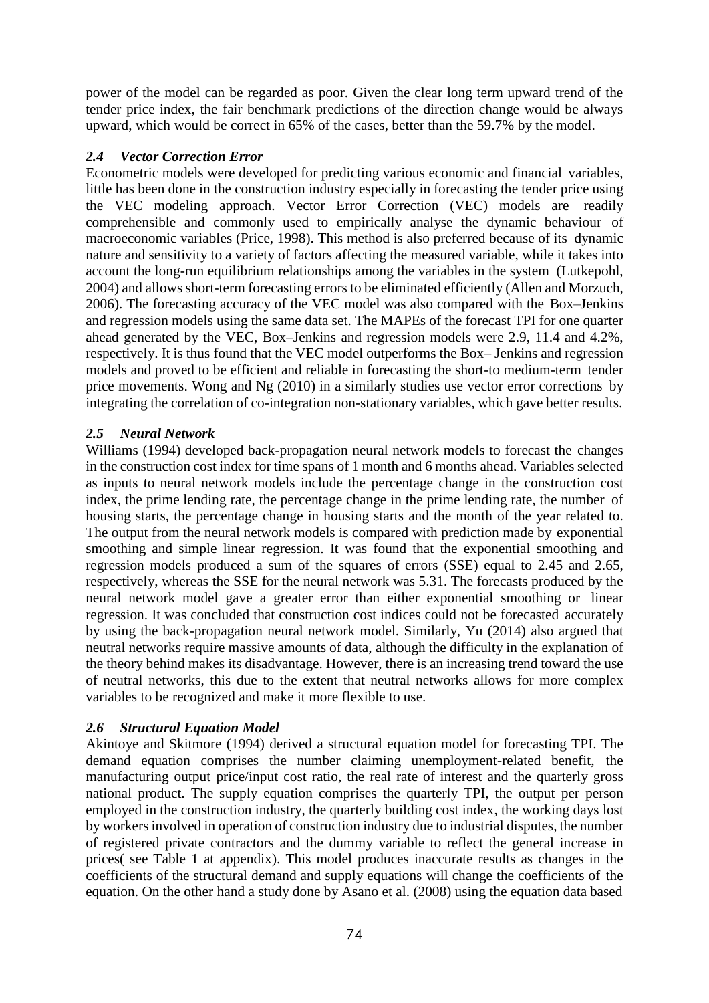power of the model can be regarded as poor. Given the clear long term upward trend of the tender price index, the fair benchmark predictions of the direction change would be always upward, which would be correct in 65% of the cases, better than the 59.7% by the model.

### *2.4 Vector Correction Error*

Econometric models were developed for predicting various economic and financial variables, little has been done in the construction industry especially in forecasting the tender price using the VEC modeling approach. Vector Error Correction (VEC) models are readily comprehensible and commonly used to empirically analyse the dynamic behaviour of macroeconomic variables (Price, 1998). This method is also preferred because of its dynamic nature and sensitivity to a variety of factors affecting the measured variable, while it takes into account the long-run equilibrium relationships among the variables in the system (Lutkepohl, 2004) and allows short-term forecasting errors to be eliminated efficiently (Allen and Morzuch, 2006). The forecasting accuracy of the VEC model was also compared with the Box–Jenkins and regression models using the same data set. The MAPEs of the forecast TPI for one quarter ahead generated by the VEC, Box–Jenkins and regression models were 2.9, 11.4 and 4.2%, respectively. It is thus found that the VEC model outperforms the Box– Jenkins and regression models and proved to be efficient and reliable in forecasting the short-to medium-term tender price movements. Wong and Ng (2010) in a similarly studies use vector error corrections by integrating the correlation of co-integration non-stationary variables, which gave better results.

### *2.5 Neural Network*

Williams (1994) developed back-propagation neural network models to forecast the changes in the construction cost index for time spans of 1 month and 6 months ahead. Variables selected as inputs to neural network models include the percentage change in the construction cost index, the prime lending rate, the percentage change in the prime lending rate, the number of housing starts, the percentage change in housing starts and the month of the year related to. The output from the neural network models is compared with prediction made by exponential smoothing and simple linear regression. It was found that the exponential smoothing and regression models produced a sum of the squares of errors (SSE) equal to 2.45 and 2.65, respectively, whereas the SSE for the neural network was 5.31. The forecasts produced by the neural network model gave a greater error than either exponential smoothing or linear regression. It was concluded that construction cost indices could not be forecasted accurately by using the back-propagation neural network model. Similarly, Yu (2014) also argued that neutral networks require massive amounts of data, although the difficulty in the explanation of the theory behind makes its disadvantage. However, there is an increasing trend toward the use of neutral networks, this due to the extent that neutral networks allows for more complex variables to be recognized and make it more flexible to use.

## *2.6 Structural Equation Model*

Akintoye and Skitmore (1994) derived a structural equation model for forecasting TPI. The demand equation comprises the number claiming unemployment-related benefit, the manufacturing output price/input cost ratio, the real rate of interest and the quarterly gross national product. The supply equation comprises the quarterly TPI, the output per person employed in the construction industry, the quarterly building cost index, the working days lost by workers involved in operation of construction industry due to industrial disputes, the number of registered private contractors and the dummy variable to reflect the general increase in prices( see Table 1 at appendix). This model produces inaccurate results as changes in the coefficients of the structural demand and supply equations will change the coefficients of the equation. On the other hand a study done by Asano et al. (2008) using the equation data based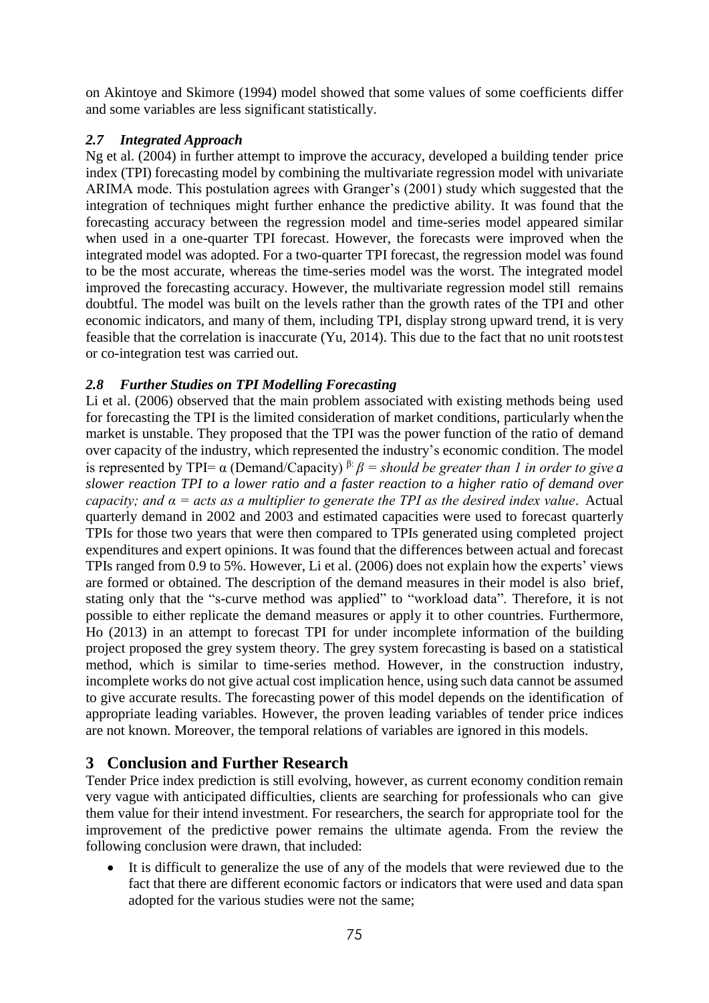on Akintoye and Skimore (1994) model showed that some values of some coefficients differ and some variables are less significant statistically.

## *2.7 Integrated Approach*

Ng et al. (2004) in further attempt to improve the accuracy, developed a building tender price index (TPI) forecasting model by combining the multivariate regression model with univariate ARIMA mode. This postulation agrees with Granger's (2001) study which suggested that the integration of techniques might further enhance the predictive ability. It was found that the forecasting accuracy between the regression model and time-series model appeared similar when used in a one-quarter TPI forecast. However, the forecasts were improved when the integrated model was adopted. For a two-quarter TPI forecast, the regression model was found to be the most accurate, whereas the time-series model was the worst. The integrated model improved the forecasting accuracy. However, the multivariate regression model still remains doubtful. The model was built on the levels rather than the growth rates of the TPI and other economic indicators, and many of them, including TPI, display strong upward trend, it is very feasible that the correlation is inaccurate (Yu, 2014). This due to the fact that no unit rootstest or co-integration test was carried out.

### *2.8 Further Studies on TPI Modelling Forecasting*

Li et al. (2006) observed that the main problem associated with existing methods being used for forecasting the TPI is the limited consideration of market conditions, particularly whenthe market is unstable. They proposed that the TPI was the power function of the ratio of demand over capacity of the industry, which represented the industry's economic condition. The model is represented by TPI=  $\alpha$  (Demand/Capacity)  $\beta$ :  $\beta$  = should be greater than 1 in order to give a *slower reaction TPI to a lower ratio and a faster reaction to a higher ratio of demand over capacity; and α = acts as a multiplier to generate the TPI as the desired index value*. Actual quarterly demand in 2002 and 2003 and estimated capacities were used to forecast quarterly TPIs for those two years that were then compared to TPIs generated using completed project expenditures and expert opinions. It was found that the differences between actual and forecast TPIs ranged from 0.9 to 5%. However, Li et al. (2006) does not explain how the experts' views are formed or obtained. The description of the demand measures in their model is also brief, stating only that the "s-curve method was applied" to "workload data". Therefore, it is not possible to either replicate the demand measures or apply it to other countries. Furthermore, Ho (2013) in an attempt to forecast TPI for under incomplete information of the building project proposed the grey system theory. The grey system forecasting is based on a statistical method, which is similar to time-series method. However, in the construction industry, incomplete works do not give actual cost implication hence, using such data cannot be assumed to give accurate results. The forecasting power of this model depends on the identification of appropriate leading variables. However, the proven leading variables of tender price indices are not known. Moreover, the temporal relations of variables are ignored in this models.

## **3 Conclusion and Further Research**

Tender Price index prediction is still evolving, however, as current economy condition remain very vague with anticipated difficulties, clients are searching for professionals who can give them value for their intend investment. For researchers, the search for appropriate tool for the improvement of the predictive power remains the ultimate agenda. From the review the following conclusion were drawn, that included:

 It is difficult to generalize the use of any of the models that were reviewed due to the fact that there are different economic factors or indicators that were used and data span adopted for the various studies were not the same;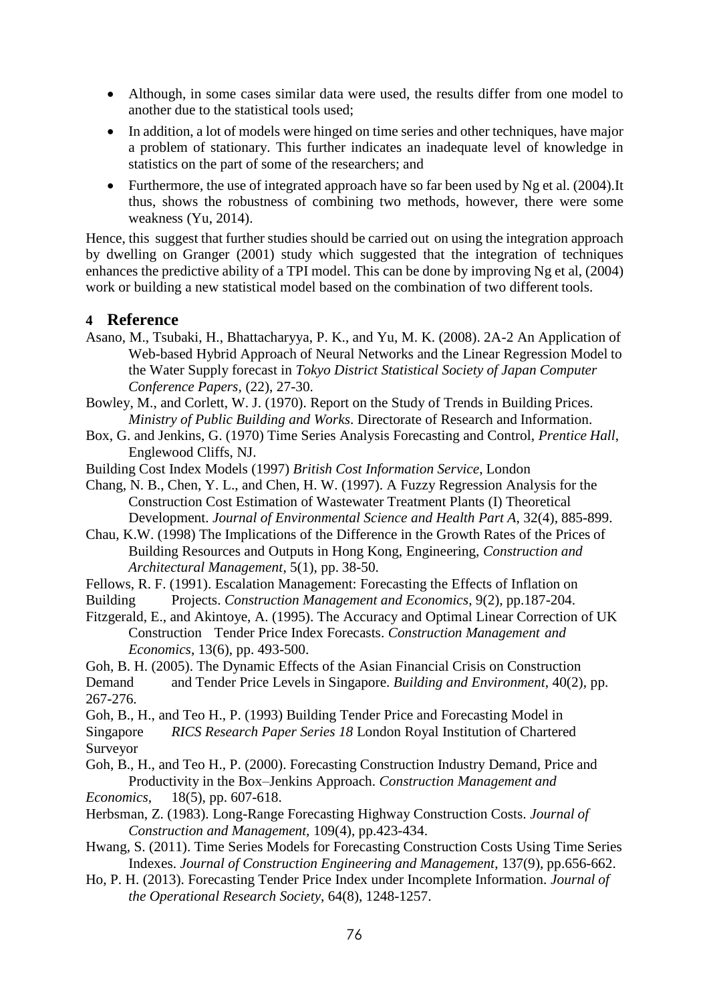- Although, in some cases similar data were used, the results differ from one model to another due to the statistical tools used;
- In addition, a lot of models were hinged on time series and other techniques, have major a problem of stationary. This further indicates an inadequate level of knowledge in statistics on the part of some of the researchers; and
- Furthermore, the use of integrated approach have so far been used by Ng et al. (2004).It thus, shows the robustness of combining two methods, however, there were some weakness (Yu, 2014).

Hence, this suggest that further studies should be carried out on using the integration approach by dwelling on Granger (2001) study which suggested that the integration of techniques enhances the predictive ability of a TPI model. This can be done by improving Ng et al, (2004) work or building a new statistical model based on the combination of two different tools.

#### **4 Reference**

- Asano, M., Tsubaki, H., Bhattacharyya, P. K., and Yu, M. K. (2008). 2A-2 An Application of Web-based Hybrid Approach of Neural Networks and the Linear Regression Model to the Water Supply forecast in *Tokyo District Statistical Society of Japan Computer Conference Papers,* (22), 27-30.
- Bowley, M., and Corlett, W. J. (1970). Report on the Study of Trends in Building Prices. *Ministry of Public Building and Works*. Directorate of Research and Information.
- Box, G. and Jenkins, G. (1970) Time Series Analysis Forecasting and Control, *Prentice Hall*, Englewood Cliffs, NJ.
- Building Cost Index Models (1997) *British Cost Information Service*, London
- Chang, N. B., Chen, Y. L., and Chen, H. W. (1997). A Fuzzy Regression Analysis for the Construction Cost Estimation of Wastewater Treatment Plants (I) Theoretical Development. *Journal of Environmental Science and Health Part A*, 32(4), 885-899.
- Chau, K.W. (1998) The Implications of the Difference in the Growth Rates of the Prices of Building Resources and Outputs in Hong Kong, Engineering, *Construction and Architectural Management*, 5(1), pp. 38-50.
- Fellows, R. F. (1991). Escalation Management: Forecasting the Effects of Inflation on
- Building Projects. *Construction Management and Economics*, 9(2), pp.187-204.
- Fitzgerald, E., and Akintoye, A. (1995). The Accuracy and Optimal Linear Correction of UK Construction Tender Price Index Forecasts. *Construction Management and Economics*, 13(6), pp. 493-500.
- Goh, B. H. (2005). The Dynamic Effects of the Asian Financial Crisis on Construction
- Demand and Tender Price Levels in Singapore. *Building and Environment*, 40(2), pp. 267-276.
- Goh, B., H., and Teo H., P. (1993) Building Tender Price and Forecasting Model in Singapore *RICS Research Paper Series 18* London Royal Institution of Chartered Surveyor
- Goh, B., H., and Teo H., P. (2000). Forecasting Construction Industry Demand, Price and Productivity in the Box–Jenkins Approach. *Construction Management and*
- *Economics,* 18(5), pp. 607-618.
- Herbsman, Z. (1983). Long-Range Forecasting Highway Construction Costs. *Journal of Construction and Management,* 109(4), pp.423-434.
- Hwang, S. (2011). Time Series Models for Forecasting Construction Costs Using Time Series Indexes. *Journal of Construction Engineering and Management*, 137(9), pp.656-662.
- Ho, P. H. (2013). Forecasting Tender Price Index under Incomplete Information. *Journal of the Operational Research Society*, 64(8), 1248-1257.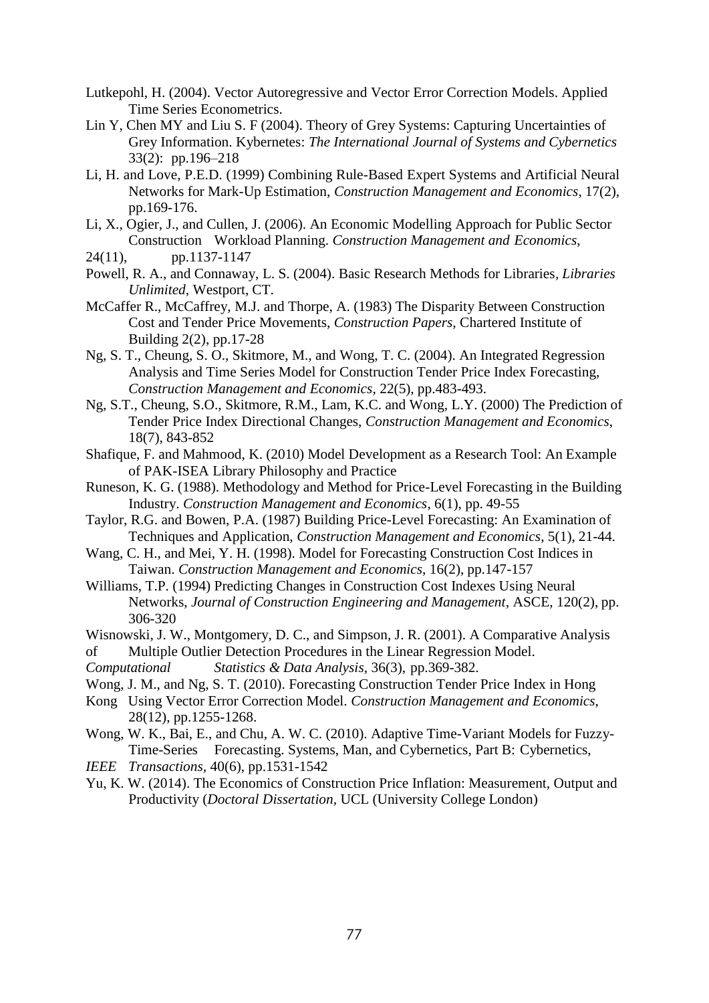- Lutkepohl, H. (2004). Vector Autoregressive and Vector Error Correction Models. Applied Time Series Econometrics.
- Lin Y, Chen MY and Liu S. F (2004). Theory of Grey Systems: Capturing Uncertainties of Grey Information. Kybernetes: *The International Journal of Systems and Cybernetics*  33(2): pp.196–218
- Li, H. and Love, P.E.D. (1999) Combining Rule-Based Expert Systems and Artificial Neural Networks for Mark-Up Estimation, *Construction Management and Economics*, 17(2), pp.169-176.
- Li, X., Ogier, J., and Cullen, J. (2006). An Economic Modelling Approach for Public Sector Construction Workload Planning. *Construction Management and Economics*,
- 24(11), pp.1137-1147
- Powell, R. A., and Connaway, L. S. (2004). Basic Research Methods for Libraries*, Libraries Unlimited*, Westport, CT.
- McCaffer R., McCaffrey, M.J. and Thorpe, A. (1983) The Disparity Between Construction Cost and Tender Price Movements, *Construction Papers,* Chartered Institute of Building 2(2), pp.17-28
- Ng, S. T., Cheung, S. O., Skitmore, M., and Wong, T. C. (2004). An Integrated Regression Analysis and Time Series Model for Construction Tender Price Index Forecasting, *Construction Management and Economics*, 22(5), pp.483-493.
- Ng, S.T., Cheung, S.O., Skitmore, R.M., Lam, K.C. and Wong, L.Y. (2000) The Prediction of Tender Price Index Directional Changes, *Construction Management and Economics*, 18(7), 843-852
- Shafique, F. and Mahmood, K. (2010) Model Development as a Research Tool: An Example of PAK-ISEA Library Philosophy and Practice
- Runeson, K. G. (1988). Methodology and Method for Price-Level Forecasting in the Building Industry. *Construction Management and Economics*, 6(1), pp. 49-55
- Taylor, R.G. and Bowen, P.A. (1987) Building Price-Level Forecasting: An Examination of Techniques and Application, *Construction Management and Economics*, 5(1), 21-44.
- Wang, C. H., and Mei, Y. H. (1998). Model for Forecasting Construction Cost Indices in Taiwan. *Construction Management and Economics*, 16(2), pp.147-157
- Williams, T.P. (1994) Predicting Changes in Construction Cost Indexes Using Neural Networks, *Journal of Construction Engineering and Management*, ASCE, 120(2), pp. 306-320
- Wisnowski, J. W., Montgomery, D. C., and Simpson, J. R. (2001). A Comparative Analysis
- of Multiple Outlier Detection Procedures in the Linear Regression Model.
- *Computational Statistics & Data Analysis,* 36(3), pp.369-382.
- Wong, J. M., and Ng, S. T. (2010). Forecasting Construction Tender Price Index in Hong
- Kong Using Vector Error Correction Model. *Construction Management and Economics*, 28(12), pp.1255-1268.
- Wong, W. K., Bai, E., and Chu, A. W. C. (2010). Adaptive Time-Variant Models for Fuzzy-Time-Series Forecasting. Systems, Man, and Cybernetics, Part B: Cybernetics,
- *IEEE Transactions,* 40(6), pp.1531-1542
- Yu, K. W. (2014). The Economics of Construction Price Inflation: Measurement, Output and Productivity (*Doctoral Dissertation,* UCL (University College London)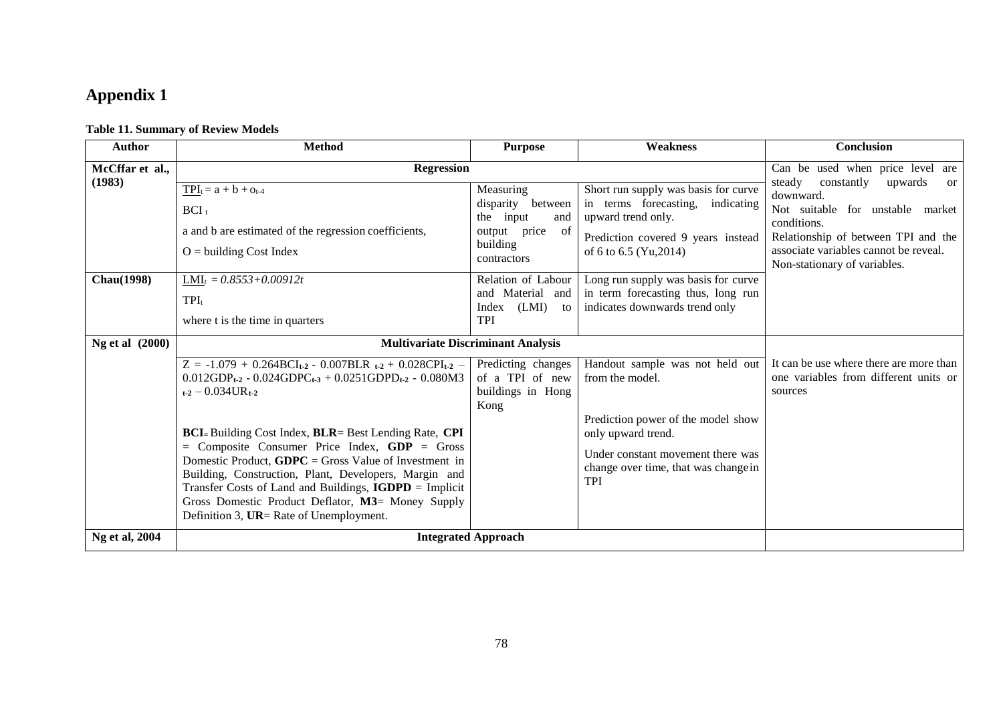# **Appendix 1**

#### **Table 11. Summary of Review Models**

| <b>Author</b>     | <b>Method</b>                                                                                                                                                                                                                                                                                                                                                                           | <b>Purpose</b>                                                                                   | <b>Weakness</b>                                                                                                                                                | Conclusion                                                                                                                                                                                                                   |
|-------------------|-----------------------------------------------------------------------------------------------------------------------------------------------------------------------------------------------------------------------------------------------------------------------------------------------------------------------------------------------------------------------------------------|--------------------------------------------------------------------------------------------------|----------------------------------------------------------------------------------------------------------------------------------------------------------------|------------------------------------------------------------------------------------------------------------------------------------------------------------------------------------------------------------------------------|
| McCffar et al.,   | <b>Regression</b>                                                                                                                                                                                                                                                                                                                                                                       |                                                                                                  |                                                                                                                                                                | Can be used when price level are                                                                                                                                                                                             |
| (1983)            | $TPI_t = a + b + o_{t-4}$<br>$BCI_t$<br>a and b are estimated of the regression coefficients,<br>$O =$ building Cost Index                                                                                                                                                                                                                                                              | Measuring<br>disparity between<br>the input<br>and<br>output price of<br>building<br>contractors | Short run supply was basis for curve<br>in terms forecasting, indicating<br>upward trend only.<br>Prediction covered 9 years instead<br>of 6 to 6.5 (Yu, 2014) | steady<br>constantly<br>upwards<br><b>or</b><br>downward.<br>Not suitable for unstable market<br>conditions.<br>Relationship of between TPI and the<br>associate variables cannot be reveal.<br>Non-stationary of variables. |
| <b>Chau(1998)</b> | $LMI_t = 0.8553 + 0.00912t$<br>$TPI_t$<br>where t is the time in quarters                                                                                                                                                                                                                                                                                                               | Relation of Labour<br>and Material and<br>(LMI)<br>Index<br>to<br><b>TPI</b>                     | Long run supply was basis for curve<br>in term forecasting thus, long run<br>indicates downwards trend only                                                    |                                                                                                                                                                                                                              |
| Ng et al (2000)   | <b>Multivariate Discriminant Analysis</b>                                                                                                                                                                                                                                                                                                                                               |                                                                                                  |                                                                                                                                                                |                                                                                                                                                                                                                              |
|                   | $Z = -1.079 + 0.264BCI_{t-2} - 0.007BLR_{t-2} + 0.028CPI_{t-2} -$<br>$0.012GDP_{t2} - 0.024GDPC_{t3} + 0.0251GDPD_{t2} - 0.080M3$<br>$t_{12}$ – 0.034UR $t_{12}$                                                                                                                                                                                                                        | Predicting changes<br>of a TPI of new<br>buildings in Hong<br>Kong                               | Handout sample was not held out<br>from the model.                                                                                                             | It can be use where there are more than<br>one variables from different units or<br>sources                                                                                                                                  |
|                   | BCI=Building Cost Index, BLR= Best Lending Rate, CPI<br>$=$ Composite Consumer Price Index, GDP $=$ Gross<br>Domestic Product, $GDPC = Gross$ Value of Investment in<br>Building, Construction, Plant, Developers, Margin and<br>Transfer Costs of Land and Buildings, IGDPD = Implicit<br>Gross Domestic Product Deflator, M3= Money Supply<br>Definition 3, UR= Rate of Unemployment. |                                                                                                  | Prediction power of the model show<br>only upward trend.<br>Under constant movement there was<br>change over time, that was change in<br><b>TPI</b>            |                                                                                                                                                                                                                              |
| Ng et al, 2004    | <b>Integrated Approach</b>                                                                                                                                                                                                                                                                                                                                                              |                                                                                                  |                                                                                                                                                                |                                                                                                                                                                                                                              |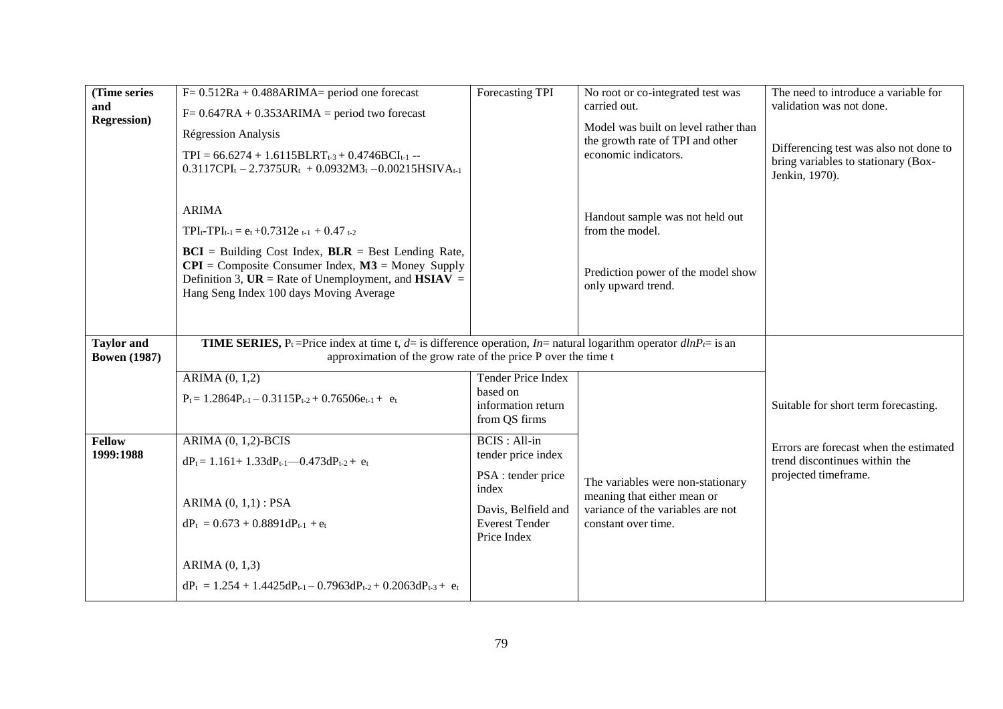| (Time series<br>and<br><b>Regression</b> ) | $F = 0.512Ra + 0.488ARIMA = period$ one forecast<br>$F = 0.647RA + 0.353ARIMA = period two forecast$<br><b>Régression Analysis</b><br>$TPI = 66.6274 + 1.6115BLRT_{t-3} + 0.4746BCI_{t-1} -$<br>$0.3117$ CPI <sub>t</sub> - 2.7375UR <sub>t</sub> + 0.0932M3 <sub>t</sub> - 0.00215HSIVA <sub>t-1</sub>                          | Forecasting TPI                                                                                                                          | No root or co-integrated test was<br>carried out.<br>Model was built on level rather than<br>the growth rate of TPI and other<br>economic indicators. | The need to introduce a variable for<br>validation was not done.<br>Differencing test was also not done to<br>bring variables to stationary (Box-<br>Jenkin, 1970). |
|--------------------------------------------|----------------------------------------------------------------------------------------------------------------------------------------------------------------------------------------------------------------------------------------------------------------------------------------------------------------------------------|------------------------------------------------------------------------------------------------------------------------------------------|-------------------------------------------------------------------------------------------------------------------------------------------------------|---------------------------------------------------------------------------------------------------------------------------------------------------------------------|
|                                            | <b>ARIMA</b><br>$TPI_{t}$ - $TPI_{t-1} = e_t + 0.7312e_{t-1} + 0.47t_{-2}$<br>$BCI$ = Building Cost Index, $BLR$ = Best Lending Rate,<br>$CPI =$ Composite Consumer Index, $M3 =$ Money Supply<br>Definition 3, $\mathbf{UR} = \mathbf{Rate}$ of Unemployment, and $\mathbf{HSIAV} =$<br>Hang Seng Index 100 days Moving Average |                                                                                                                                          | Handout sample was not held out<br>from the model.<br>Prediction power of the model show<br>only upward trend.                                        |                                                                                                                                                                     |
| <b>Taylor</b> and<br><b>Bowen</b> (1987)   | <b>TIME SERIES,</b> P <sub>t</sub> =Price index at time t, d= is difference operation, In= natural logarithm operator $dlnP_i$ = is an<br>approximation of the grow rate of the price P over the time t                                                                                                                          |                                                                                                                                          |                                                                                                                                                       |                                                                                                                                                                     |
|                                            | ARIMA (0, 1,2)<br>$P_t = 1.2864P_{t-1} - 0.3115P_{t-2} + 0.76506e_{t-1} + e_t$                                                                                                                                                                                                                                                   | <b>Tender Price Index</b><br>based on<br>information return<br>from QS firms                                                             |                                                                                                                                                       | Suitable for short term forecasting.                                                                                                                                |
| <b>Fellow</b><br>1999:1988                 | ARIMA (0, 1,2)-BCIS<br>$dP_t = 1.161 + 1.33dP_{t-1} - 0.473dP_{t-2} + e_t$<br>ARIMA $(0, 1, 1)$ : PSA<br>$dP_t = 0.673 + 0.8891dP_{t-1} + e_t$                                                                                                                                                                                   | <b>BCIS</b> : All-in<br>tender price index<br>PSA : tender price<br>index<br>Davis, Belfield and<br><b>Everest Tender</b><br>Price Index | The variables were non-stationary<br>meaning that either mean or<br>variance of the variables are not<br>constant over time.                          | Errors are forecast when the estimated<br>trend discontinues within the<br>projected timeframe.                                                                     |
|                                            | ARIMA (0, 1,3)<br>$dP_t = 1.254 + 1.4425dP_{t-1} - 0.7963dP_{t-2} + 0.2063dP_{t-3} + e_t$                                                                                                                                                                                                                                        |                                                                                                                                          |                                                                                                                                                       |                                                                                                                                                                     |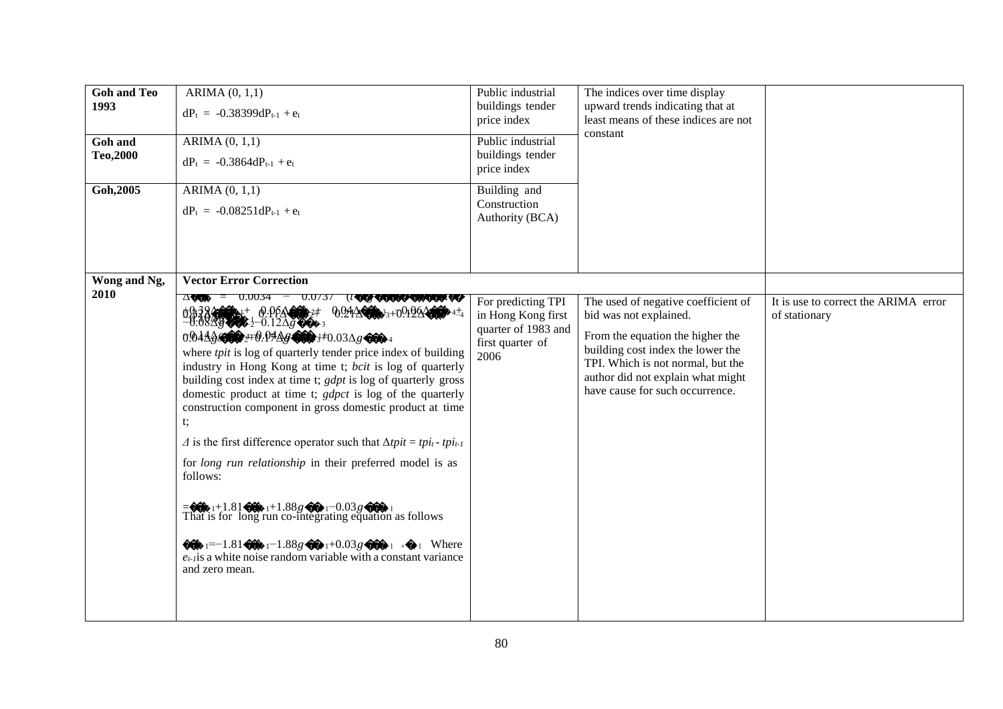| <b>Goh and Teo</b><br>1993<br>Goh and<br>Teo, 2000<br>Goh, 2005 | ARIMA (0, 1, 1)<br>$dP_t = -0.38399dP_{t-1} + e_t$<br>ARIMA $(0, 1, 1)$<br>$dP_t = -0.3864dP_{t-1} + e_t$<br>ARIMA(0, 1, 1)<br>$dP_t = -0.08251dP_{t-1} + e_t$ | Public industrial<br>buildings tender<br>price index<br>Public industrial<br>buildings tender<br>price index<br>Building and<br>Construction<br>Authority (BCA) | The indices over time display<br>upward trends indicating that at<br>least means of these indices are not<br>constant                                                                                                                               |                                                       |
|-----------------------------------------------------------------|----------------------------------------------------------------------------------------------------------------------------------------------------------------|-----------------------------------------------------------------------------------------------------------------------------------------------------------------|-----------------------------------------------------------------------------------------------------------------------------------------------------------------------------------------------------------------------------------------------------|-------------------------------------------------------|
| Wong and Ng,<br>2010                                            | <b>Vector Error Correction</b><br>$\Delta$ VOON = $0.0034 - 0.0737$ (1<br>QQQ VOOON/VOON/VOOR/VOOR<br>Φβ38400++ 0.0ρΔ00++<br>9.9448<br>                        | For predicting TPI<br>in Hong Kong first<br>quarter of 1983 and<br>first quarter of<br>2006                                                                     | The used of negative coefficient of<br>bid was not explained.<br>From the equation the higher the<br>building cost index the lower the<br>TPI. Which is not normal, but the<br>author did not explain what might<br>have cause for such occurrence. | It is use to correct the ARIMA error<br>of stationary |